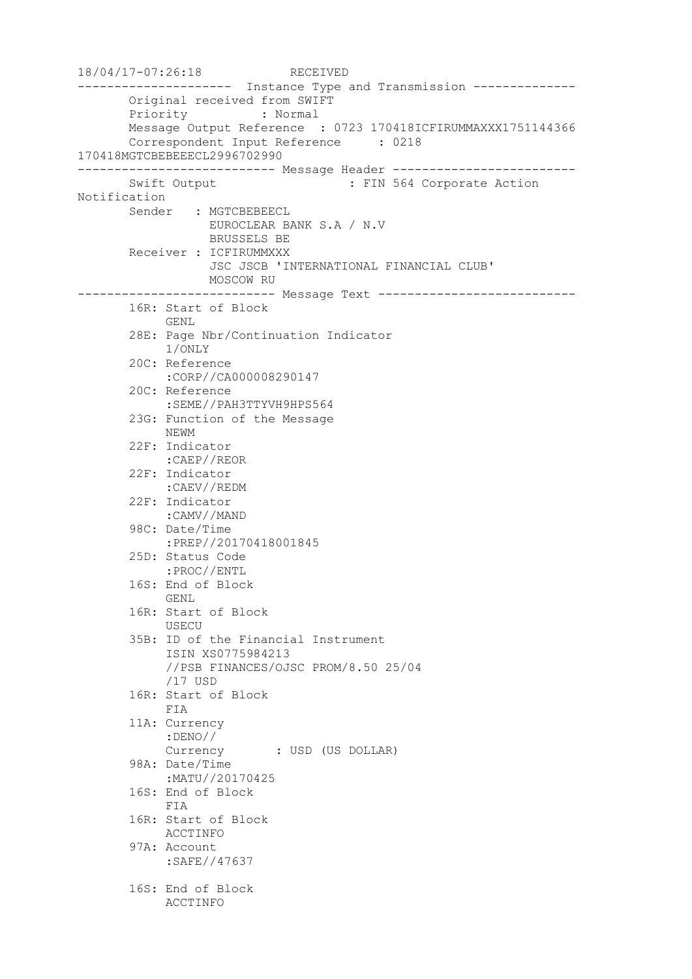18/04/17-07:26:18 RECEIVED --------------------- Instance Type and Transmission -------------- Original received from SWIFT Priority : Normal Message Output Reference : 0723 170418ICFIRUMMAXXX1751144366 Correspondent Input Reference : 0218 170418MGTCBEBEEECL2996702990 --------------------------- Message Header ------------------------- Swift Output : FIN 564 Corporate Action Notification Sender : MGTCBEBEECL EUROCLEAR BANK S.A / N.V BRUSSELS BE Receiver : ICFIRUMMXXX JSC JSCB 'INTERNATIONAL FINANCIAL CLUB' MOSCOW RU --------------------------- Message Text --------------------------- 16R: Start of Block GENL 28E: Page Nbr/Continuation Indicator 1/ONLY 20C: Reference :CORP//CA000008290147 20C: Reference :SEME//PAH3TTYVH9HPS564 23G: Function of the Message NEWM 22F: Indicator :CAEP//REOR 22F: Indicator :CAEV//REDM 22F: Indicator :CAMV//MAND 98C: Date/Time :PREP//20170418001845 25D: Status Code :PROC//ENTL 16S: End of Block GENL 16R: Start of Block USECU 35B: ID of the Financial Instrument ISIN XS0775984213 //PSB FINANCES/OJSC PROM/8.50 25/04 /17 USD 16R: Start of Block FIA 11A: Currency :DENO// Currency : USD (US DOLLAR) 98A: Date/Time :MATU//20170425 16S: End of Block FIA 16R: Start of Block ACCTINFO 97A: Account :SAFE//47637 16S: End of Block ACCTINFO